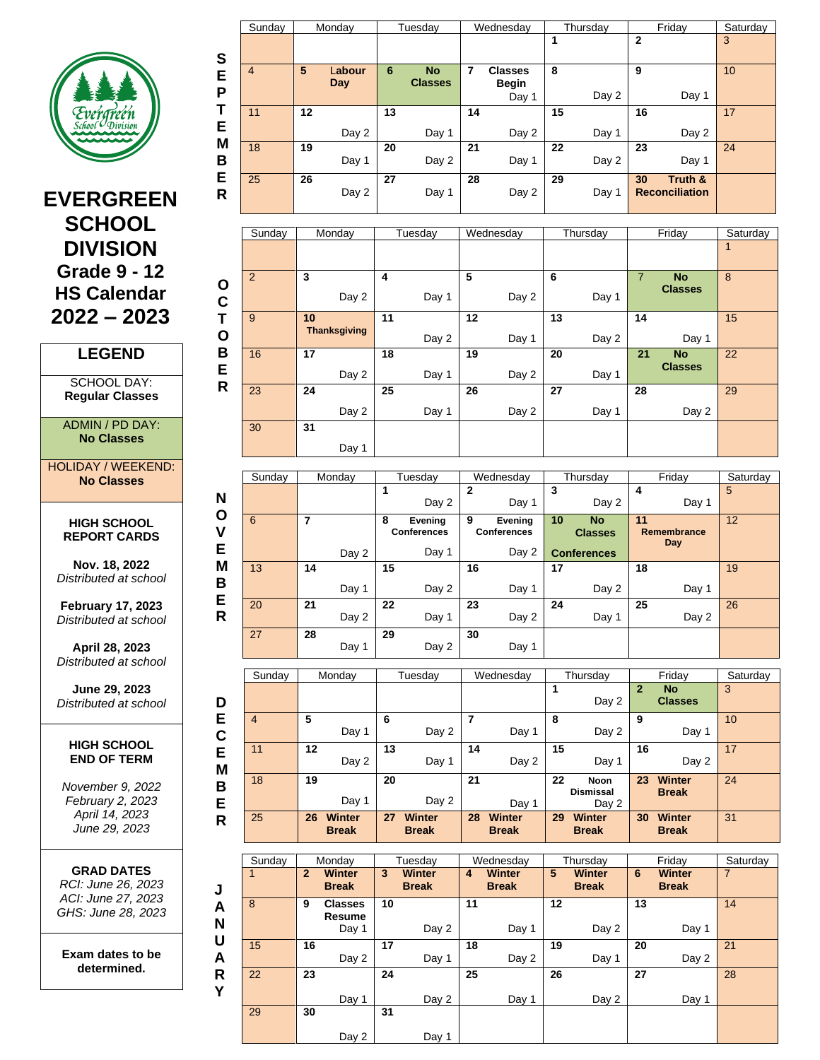

# **EVERGREEN SCHOOL DIVISION Grade 9 - 12 HS Calendar 2022 – 2023**

### **LEGEND**

SCHOOL DAY: **Regular Classes**

ADMIN / PD DAY: **No Classes**

HOLIDAY / WEEKEND: **No Classes**

**N O V E**

**HIGH SCHOOL REPORT CARDS**

**Nov. 18, 2022** *Distributed at school*

**February 17, 2023** *Distributed at school*

**April 28, 2023** *Distributed at school*

**June 29, 2023** *Distributed at school*

#### **HIGH SCHOOL END OF TERM**

*November 9, 2022 February 2, 2023 April 14, 2023 June 29, 2023*

|              | <b>GRAD DATES</b> |  |
|--------------|-------------------|--|
| יחר הם המוחד |                   |  |

*RCI: June 26, 2023 ACI: June 27, 2023 GHS: June 28, 2023*

**Exam dates to be determined.**

|        | Sunday         |    | Monday        |    | Tuesday                     |    | Wednesday                               |    | Thursday |    | Friday                           | Saturday |
|--------|----------------|----|---------------|----|-----------------------------|----|-----------------------------------------|----|----------|----|----------------------------------|----------|
| S      |                |    |               |    |                             |    |                                         |    |          | 2  |                                  | 3        |
| E<br>P | $\overline{4}$ | 5  | Labour<br>Day | 6  | <b>No</b><br><b>Classes</b> | 7  | <b>Classes</b><br><b>Begin</b><br>Day 1 | 8  | Day 2    | 9  | Day 1                            | 10       |
| Т<br>Е | 11             | 12 | Day 2         | 13 | Day 1                       | 14 | Day 2                                   | 15 | Day 1    | 16 | Day 2                            | 17       |
| M<br>в | 18             | 19 | Day 1         | 20 | Day 2                       | 21 | Day 1                                   | 22 | Day 2    | 23 | Day 1                            | 24       |
| Е<br>R | 25             | 26 | Day 2         | 27 | Day 1                       | 28 | Day 2                                   | 29 | Day 1    | 30 | Truth &<br><b>Reconciliation</b> |          |

|              | Sunday | Monday              | Tuesday | Wednesday | Thursday | Friday                      | Saturday |
|--------------|--------|---------------------|---------|-----------|----------|-----------------------------|----------|
|              |        |                     |         |           |          |                             | 1        |
| $\mathbf{o}$ | 2      | 3                   | 4       | 5         | 6        | $\overline{7}$<br><b>No</b> | 8        |
| C            |        | Day 2               | Day 1   | Day 2     | Day 1    | <b>Classes</b>              |          |
| Т            | 9      | 10                  | 11      | 12        | 13       | 14                          | 15       |
| $\mathbf O$  |        | <b>Thanksgiving</b> | Day 2   | Day 1     | Day 2    | Day 1                       |          |
| B            | 16     | 17                  | 18      | 19        | 20       | 21<br><b>No</b>             | 22       |
| Е            |        | Day 2               | Day 1   | Day 2     | Day 1    | <b>Classes</b>              |          |
| R            | 23     | 24                  | 25      | 26        | 27       | 28                          | 29       |
|              |        | Day 2               | Day 1   | Day 2     | Day 1    | Day 2                       |          |
|              | 30     | 31                  |         |           |          |                             |          |
|              |        | Day 1               |         |           |          |                             |          |

|             | Sunday | Monday      | Tuesdav                                     | Wednesday                                   | Thursday                                                | Friday                   | Saturday        |
|-------------|--------|-------------|---------------------------------------------|---------------------------------------------|---------------------------------------------------------|--------------------------|-----------------|
| N           |        |             | 1<br>Day 2                                  | $\mathbf{2}$<br>Day 1                       | 3<br>Day 2                                              | 4<br>Day 1               | 5               |
| O<br>۷<br>Е | 6      | 7<br>Day 2  | 8<br>Evening<br><b>Conferences</b><br>Day 1 | 9<br>Evening<br><b>Conferences</b><br>Day 2 | 10<br><b>No</b><br><b>Classes</b><br><b>Conferences</b> | 11<br>Remembrance<br>Day | 12 <sup>°</sup> |
| M<br>B      | 13     | 14<br>Day 1 | 15<br>Day 2                                 | 16<br>Day 1                                 | 17<br>Day 2                                             | 18<br>Day 1              | 19              |
| Е<br>R      | 20     | 21<br>Day 2 | 22<br>Day 1                                 | 23<br>Day 2                                 | 24<br>Day 1                                             | 25<br>Day 2              | 26              |
|             | 27     | 28<br>Day 1 | 29<br>Day 2                                 | 30<br>Day 1                                 |                                                         |                          |                 |

|        | Sunday |    | Monday                        |    | Tuesdav                       |    | Wednesday              |    | Thursday                          |              | Friday                        | Saturday |
|--------|--------|----|-------------------------------|----|-------------------------------|----|------------------------|----|-----------------------------------|--------------|-------------------------------|----------|
| D      |        |    |                               |    |                               |    |                        |    | Day 2                             | $\mathbf{2}$ | <b>No</b><br><b>Classes</b>   | 3        |
| Е<br>C | 4      | 5  | Day 1                         | 6  | Day 2                         |    | Day 1                  | 8  | Day 2                             | 9            | Day 1                         | 10       |
| Е<br>M | 11     | 12 | Day 2                         | 13 | Day 1                         | 14 | Day 2                  | 15 | Day 1                             | 16           | Day 2                         | 17       |
| B<br>Е | 18     | 19 | Day 1                         | 20 | Day 2                         | 21 | Day 1                  | 22 | Noon<br><b>Dismissal</b><br>Day 2 | 23           | <b>Winter</b><br><b>Break</b> | 24       |
| R      | 25     | 26 | <b>Winter</b><br><b>Break</b> | 27 | <b>Winter</b><br><b>Break</b> | 28 | Winter<br><b>Break</b> | 29 | Winter<br><b>Break</b>            | 30           | <b>Winter</b><br><b>Break</b> | 31       |

| Sunday |              | Monday                            |    | Tuesdav                       |    | Wednesday                     |    | Thursday               |    | Friday                        | Saturday       |
|--------|--------------|-----------------------------------|----|-------------------------------|----|-------------------------------|----|------------------------|----|-------------------------------|----------------|
|        | $\mathbf{2}$ | <b>Winter</b><br><b>Break</b>     | 3  | <b>Winter</b><br><b>Break</b> | 4  | <b>Winter</b><br><b>Break</b> | 5  | Winter<br><b>Break</b> | 6  | <b>Winter</b><br><b>Break</b> | $\overline{7}$ |
| 8      | 9            | <b>Classes</b><br>Resume<br>Day 1 | 10 | Day 2                         | 11 | Day 1                         | 12 | Day 2                  | 13 | Day 1                         | 14             |
| 15     | 16           | Day 2                             | 17 | Day 1                         | 18 | Day 2                         | 19 | Day 1                  | 20 | Day 2                         | 21             |
| 22     | 23           | Day 1                             | 24 | Day 2                         | 25 | Day 1                         | 26 | Day 2                  | 27 | Day 1                         | 28             |
| 29     | 30           | Day 2                             | 31 | Day 1                         |    |                               |    |                        |    |                               |                |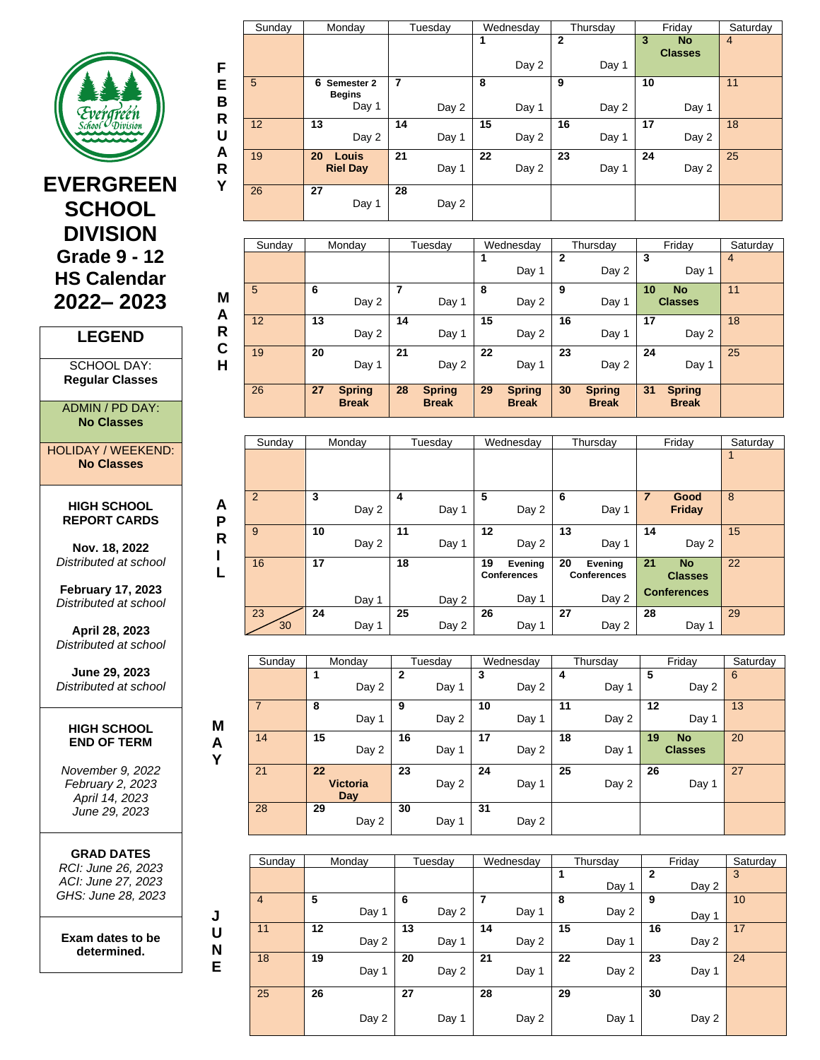

# **EVERGREEN <sup>Y</sup> SCHOOL DIVISION Grade 9 - 12 HS Calendar 2022– 2023**

## **LEGEND**

SCHOOL DAY: **Regular Classes**

ADMIN / PD DAY: **No Classes**

HOLIDAY / WEEKEND: **No Classes**

#### **HIGH SCHOOL REPORT CARDS**

**A P R I L**

**M A Y**

**J U N E**

**Nov. 18, 2022** *Distributed at school*

**February 17, 2023** *Distributed at school*

**April 28, 2023** *Distributed at school*

**June 29, 2023** *Distributed at school*

#### **HIGH SCHOOL END OF TERM**

*November 9, 2022 February 2, 2023 April 14, 2023 June 29, 2023*

**GRAD DATES** *RCI: June 26, 2023 ACI: June 27, 2023 GHS: June 28, 2023*

**Exam dates to be determined.**

|        | Sunday | Monday                           | Tuesday        | Wednesday   | Thursday     | Friday         | Saturday       |
|--------|--------|----------------------------------|----------------|-------------|--------------|----------------|----------------|
|        |        |                                  |                |             | $\mathbf{2}$ | 3<br><b>No</b> | $\overline{4}$ |
|        |        |                                  |                | Day 2       | Day 1        | <b>Classes</b> |                |
| F      |        |                                  |                |             |              |                |                |
| Е      | 5      | 6<br>Semester 2<br><b>Begins</b> | $\overline{7}$ | 8           | 9            | 10             | 11             |
| B<br>R |        | Day 1                            | Day 2          | Day 1       | Day 2        | Day 1          |                |
| U      | 12     | 13<br>Day 2                      | 14<br>Day 1    | 15<br>Day 2 | 16<br>Day 1  | 17<br>Day 2    | 18             |
| A<br>R | 19     | 20<br>Louis<br><b>Riel Day</b>   | 21<br>Day 1    | 22<br>Day 2 | 23<br>Day 1  | 24<br>Day 2    | 25             |
| Y      | 26     | 27<br>Day 1                      | 28<br>Day 2    |             |              |                |                |

|        | 26     | 27 | <b>Spring</b><br><b>Break</b> | 28 | <b>Spring</b><br><b>Break</b> | 29 | <b>Spring</b><br><b>Break</b> | 30 | <b>Spring</b><br><b>Break</b> | 31 | <b>Spring</b><br><b>Break</b> |          |
|--------|--------|----|-------------------------------|----|-------------------------------|----|-------------------------------|----|-------------------------------|----|-------------------------------|----------|
| C<br>H | 19     | 20 | Day 1                         | 21 | Day 2                         | 22 | Day 1                         | 23 | Day 2                         | 24 | Day 1                         | 25       |
| A<br>R | 12     | 13 | Day 2                         | 14 | Day 1                         | 15 | Day 2                         | 16 | Day 1                         | 17 | Day 2                         | 18       |
| M      | 5      | 6  | Day 2                         |    | Day 1                         | 8  | Day 2                         | 9  | Day 1                         | 10 | <b>No</b><br><b>Classes</b>   | 11       |
|        |        |    |                               |    |                               |    | Day 1                         | 2  | Day 2                         | 3  | Day 1                         | 4        |
|        | Sunday |    | Monday                        |    | Tuesdav                       |    | Wednesday                     |    | Thursday                      |    | Friday                        | Saturday |

| Sunday   | Monday               | Tuesday              | Wednesday                           | Thursday                            | Friday                                                  | Saturday |
|----------|----------------------|----------------------|-------------------------------------|-------------------------------------|---------------------------------------------------------|----------|
|          |                      |                      |                                     |                                     |                                                         | 1        |
| 2        | 3<br>Day 2           | 4<br>Day 1           | 5<br>Day 2                          | 6<br>Day 1                          | $\overline{7}$<br>Good<br>Friday                        | 8        |
| 9        | 10<br>Day 2          | 11<br>Day 1          | 12<br>Day 2                         | 13<br>Day 1                         | 14<br>Day 2                                             | 15       |
| 16       | 17                   | 18                   | 19<br>Evening<br><b>Conferences</b> | 20<br>Evening<br><b>Conferences</b> | 21<br><b>No</b><br><b>Classes</b><br><b>Conferences</b> | 22       |
| 23<br>30 | Day 1<br>24<br>Day 1 | Day 2<br>25<br>Day 2 | Day 1<br>26<br>Day 1                | Day 2<br>27<br>Day 2                | 28<br>Day 1                                             | 29       |

| Sunday         | Monday                       | Tuesday     | Wednesday   | Thursday    | Friday                            | Saturday |
|----------------|------------------------------|-------------|-------------|-------------|-----------------------------------|----------|
|                | Day 2                        | 2<br>Day 1  | 3<br>Day 2  | 4<br>Day 1  | 5<br>Day 2                        | 6        |
| $\overline{7}$ | 8<br>Day 1                   | 9<br>Day 2  | 10<br>Day 1 | 11<br>Day 2 | 12<br>Day 1                       | 13       |
| 14             | 15<br>Day 2                  | 16<br>Day 1 | 17<br>Day 2 | 18<br>Day 1 | 19<br><b>No</b><br><b>Classes</b> | 20       |
| 21             | 22<br><b>Victoria</b><br>Day | 23<br>Day 2 | 24<br>Day 1 | 25<br>Day 2 | 26<br>Day 1                       | 27       |
| 28             | 29<br>Day 2                  | 30<br>Day 1 | 31<br>Day 2 |             |                                   |          |

| Sunday         | Monday |       | Tuesday |    | Wednesday |    | Thursday |    | Friday | Saturday |
|----------------|--------|-------|---------|----|-----------|----|----------|----|--------|----------|
|                |        |       |         |    |           |    |          | 2  |        | 3        |
|                |        |       |         |    |           |    | Day 1    |    | Day 2  |          |
| $\overline{4}$ | 5      | 6     |         | 7  |           | 8  |          | 9  |        | 10       |
|                | Day 1  |       | Day 2   |    | Day 1     |    | Day 2    |    | Day 1  |          |
| 11             | 12     | 13    |         | 14 |           | 15 |          | 16 |        | 17       |
|                |        | Day 2 | Day 1   |    | Day 2     |    | Day 1    |    | Day 2  |          |
| 18             | 19     | 20    |         | 21 |           | 22 |          | 23 |        | 24       |
|                | Day 1  |       | Day 2   |    | Day 1     |    | Day 2    |    | Day 1  |          |
| 25             | 26     | 27    |         | 28 |           | 29 |          | 30 |        |          |
|                |        | Day 2 | Day 1   |    | Day 2     |    | Day 1    |    | Day 2  |          |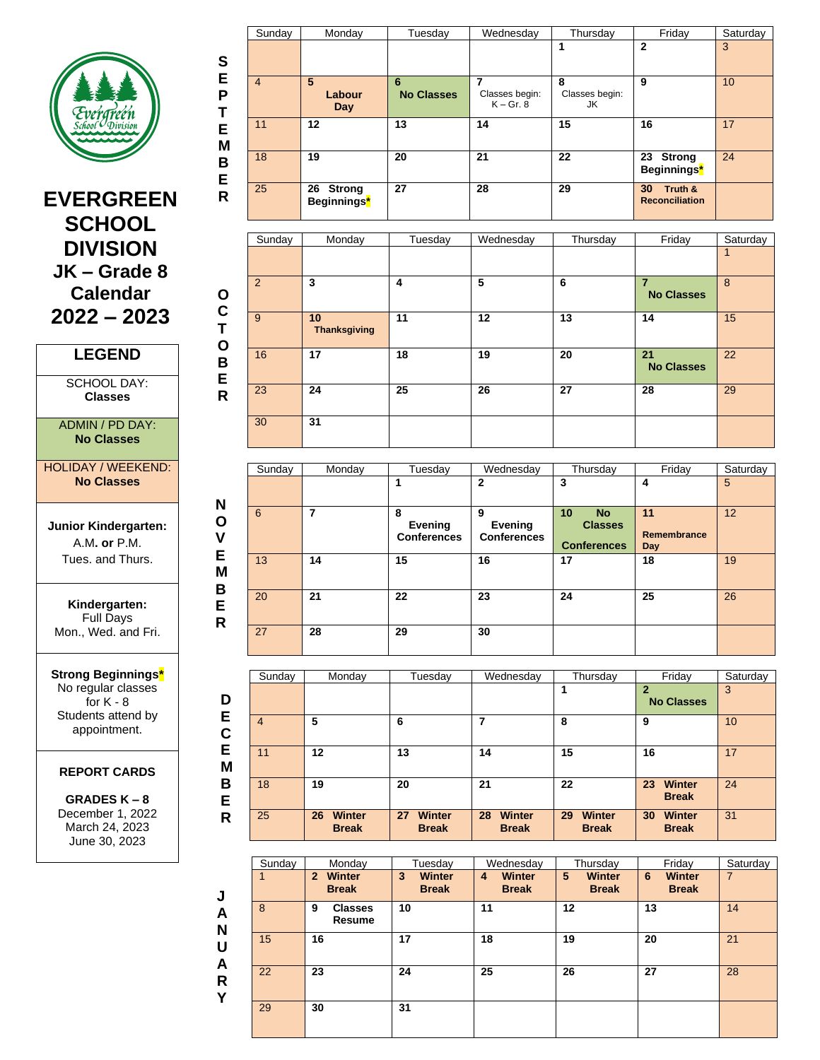

**S E P T E M B E R**

**O C T O B E R**

**N O V E M B E R**

> **D E C E M B E R**

**J A N U A R Y**

# **EVERGREEN SCHOOL DIVISION JK – Grade 8 Calendar 2022 – 2023**

### **LEGEND**

SCHOOL DAY: **Classes**

#### ADMIN / PD DAY: **No Classes**

HOLIDAY / WEEKEND: **No Classes**

**Junior Kindergarten:** A.M**. or** P.M. Tues. and Thurs.

**Kindergarten:** Full Days Mon., Wed. and Fri.

**Strong Beginnings\*** No regular classes for  $K - 8$ Students attend by appointment.

### **REPORT CARDS**

**GRADES K – 8** December 1, 2022 March 24, 2023 June 30, 2023

|                | Sunday | Monday                               | Tuesday                | Wednesday                     | Thursday                  | Friday                                 | Saturday |
|----------------|--------|--------------------------------------|------------------------|-------------------------------|---------------------------|----------------------------------------|----------|
|                |        |                                      |                        |                               |                           | $\mathbf{2}$                           | 3        |
| $\overline{4}$ |        | 5<br>Labour<br>Day                   | 6<br><b>No Classes</b> | Classes begin:<br>$K - Gr. 8$ | 8<br>Classes begin:<br>JK | 9                                      | 10       |
|                | 11     | 12                                   | 13                     | 14                            | 15                        | 16                                     | 17       |
|                | 18     | 19                                   | 20                     | 21                            | 22                        | 23 Strong<br>Beginnings*               | 24       |
|                | 25     | 26 Strong<br>Beginnings <sup>*</sup> | 27                     | 28                            | 29                        | 30<br>Truth &<br><b>Reconciliation</b> |          |

| Sunday | Monday                    | Tuesday | Wednesday | Thursday | Friday                              | Saturday |
|--------|---------------------------|---------|-----------|----------|-------------------------------------|----------|
|        |                           |         |           |          |                                     |          |
| 2      | 3                         | 4       | 5         | 6        | $\overline{7}$<br><b>No Classes</b> | 8        |
| 9      | 10<br><b>Thanksgiving</b> | 11      | 12        | 13       | 14                                  | 15       |
| 16     | 17                        | 18      | 19        | 20       | 21<br><b>No Classes</b>             | 22       |
| 23     | 24                        | 25      | 26        | 27       | 28                                  | 29       |
| 30     | 31                        |         |           |          |                                     |          |

| Sunday | Monday | Tuesday                            | Wednesday                          | Thursday                                                             | Friday                   | Saturday |
|--------|--------|------------------------------------|------------------------------------|----------------------------------------------------------------------|--------------------------|----------|
|        |        |                                    | $\mathbf{2}$                       | 3                                                                    | 4                        | 5        |
| 6      | 7      | 8<br>Evening<br><b>Conferences</b> | 9<br>Evening<br><b>Conferences</b> | 10 <sup>1</sup><br><b>No</b><br><b>Classes</b><br><b>Conferences</b> | 11<br>Remembrance<br>Day | 12       |
| 13     | 14     | 15                                 | 16                                 | 17                                                                   | 18                       | 19       |
| 20     | 21     | 22                                 | 23                                 | 24                                                                   | 25                       | 26       |
| 27     | 28     | 29                                 | 30                                 |                                                                      |                          |          |

| Sunday | Monday                              | Tuesday                             | Wednesday                           | Thursday                     | Friday                              | Saturday |
|--------|-------------------------------------|-------------------------------------|-------------------------------------|------------------------------|-------------------------------------|----------|
|        |                                     |                                     |                                     |                              | $\mathbf{2}$<br><b>No Classes</b>   | 3        |
| 4      | 5                                   | 6                                   | 7                                   | 8                            | 9                                   | 10       |
| 11     | 12                                  | 13                                  | 14                                  | 15                           | 16                                  | 17       |
| 18     | 19                                  | 20                                  | 21                                  | 22                           | <b>Winter</b><br>23<br><b>Break</b> | 24       |
| 25     | <b>Winter</b><br>26<br><b>Break</b> | <b>Winter</b><br>27<br><b>Break</b> | <b>Winter</b><br>28<br><b>Break</b> | Winter<br>29<br><b>Break</b> | Winter<br>30<br><b>Break</b>        | 31       |

| Sunday | Monday                                 | Tuesday                            | Wednesday                          | Thursday                           | Friday                             | Saturday |
|--------|----------------------------------------|------------------------------------|------------------------------------|------------------------------------|------------------------------------|----------|
|        | Winter<br>$\mathbf{p}$<br><b>Break</b> | 3<br><b>Winter</b><br><b>Break</b> | <b>Winter</b><br>4<br><b>Break</b> | 5<br><b>Winter</b><br><b>Break</b> | <b>Winter</b><br>6<br><b>Break</b> | 7        |
| 8      | <b>Classes</b><br>9<br>Resume          | 10                                 | 11                                 | 12                                 | 13                                 | 14       |
| 15     | 16                                     | 17                                 | 18                                 | 19                                 | 20                                 | 21       |
| 22     | 23                                     | 24                                 | 25                                 | 26                                 | 27                                 | 28       |
| 29     | 30                                     | 31                                 |                                    |                                    |                                    |          |